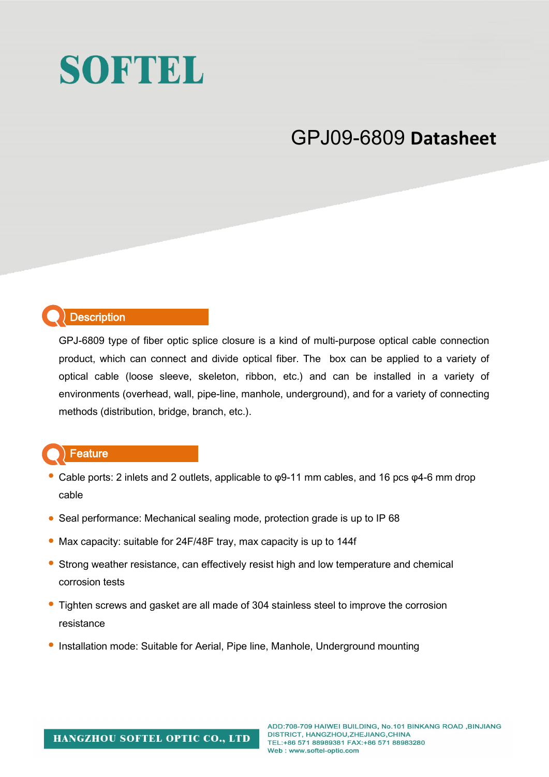# SOFTEL

# GPJ09-6809 **Datasheet**

### **Description**

GPJ-6809 type of fiber optic splice closure is a kind of multi-purpose optical cable connection product, which can connect and divide optical fiber. The box can be applied to a variety of optical cable (loose sleeve, skeleton, ribbon, etc.) and can be installed in a variety of environments (overhead, wall, pipe-line, manhole, underground), and for a variety of connecting methods (distribution, bridge, branch, etc.).

#### **Feature**

- Cable ports: 2 inlets and 2 outlets, applicable to φ9-11 mm cables, and 16 pcs φ4-6 mm drop cable
- Seal performance: Mechanical sealing mode, protection grade is up to IP 68
- Max capacity: suitable for 24F/48F tray, max capacity is up to 144f
- Strong weather resistance, can effectively resist high and low temperature and chemical corrosion tests
- Tighten screws and gasket are all made of 304 stainless steel to improve the corrosion resistance
- Installation mode: Suitable for Aerial, Pipe line, Manhole, Underground mounting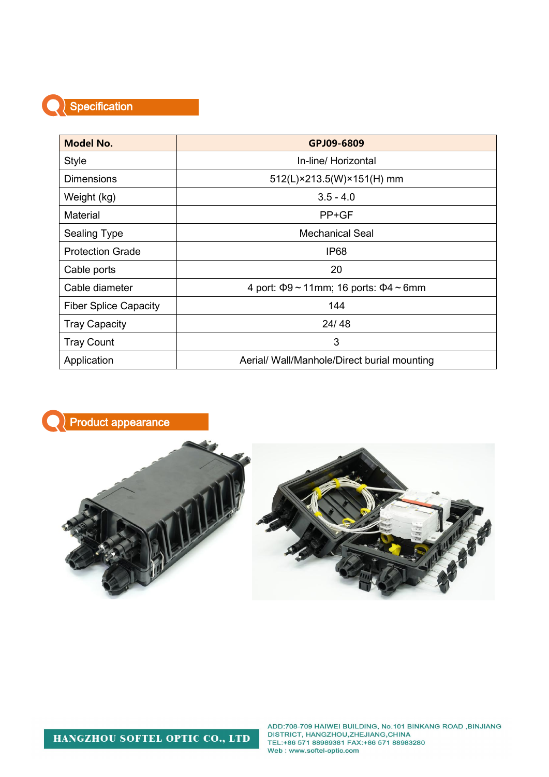#### Specification

| <b>Model No.</b>             | GPJ09-6809                                        |  |
|------------------------------|---------------------------------------------------|--|
| <b>Style</b>                 | In-line/ Horizontal                               |  |
| <b>Dimensions</b>            | 512(L)×213.5(W)×151(H) mm                         |  |
| Weight (kg)                  | $3.5 - 4.0$                                       |  |
| Material                     | PP+GF                                             |  |
| <b>Sealing Type</b>          | <b>Mechanical Seal</b>                            |  |
| <b>Protection Grade</b>      | <b>IP68</b>                                       |  |
| Cable ports                  | 20                                                |  |
| Cable diameter               | 4 port: $\Phi$ 9 ~ 11mm; 16 ports: $\Phi$ 4 ~ 6mm |  |
| <b>Fiber Splice Capacity</b> | 144                                               |  |
| <b>Tray Capacity</b>         | 24/48                                             |  |
| <b>Tray Count</b>            | 3                                                 |  |
| Application                  | Aerial/ Wall/Manhole/Direct burial mounting       |  |



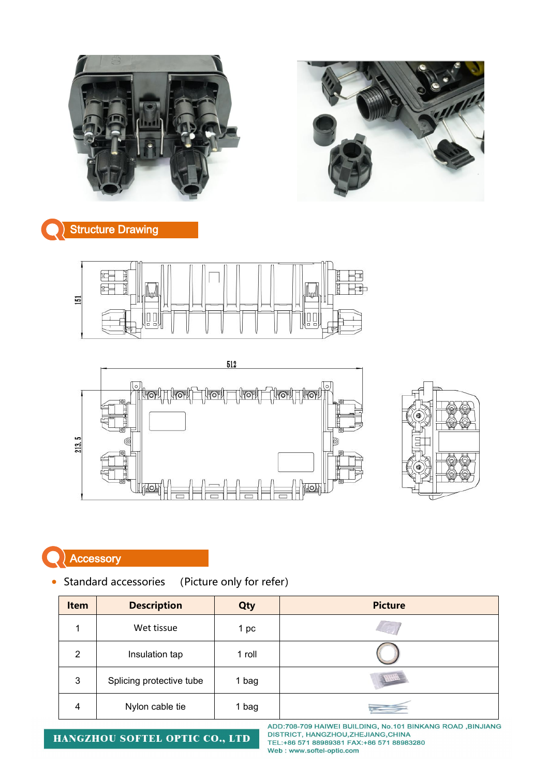



## **Structure Drawing**





## **Accessory**

• Standard accessories (Picture only for refer)

| Item | <b>Description</b>       | Qty    | <b>Picture</b> |
|------|--------------------------|--------|----------------|
| 4    | Wet tissue               | 1 pc   |                |
| 2    | Insulation tap           | 1 roll |                |
| 3    | Splicing protective tube | 1 bag  | (12345)        |
| 4    | Nylon cable tie          | 1 bag  |                |

HANGZHOU SOFTEL OPTIC CO., LTD

ADD:708-709 HAIWEI BUILDING, No.101 BINKANG ROAD, BINJIANG DISTRICT, HANGZHOU, ZHEJIANG, CHINA<br>TEL:+86 571 88989381 FAX:+86 571 88983280 Web: www.softel-optic.com